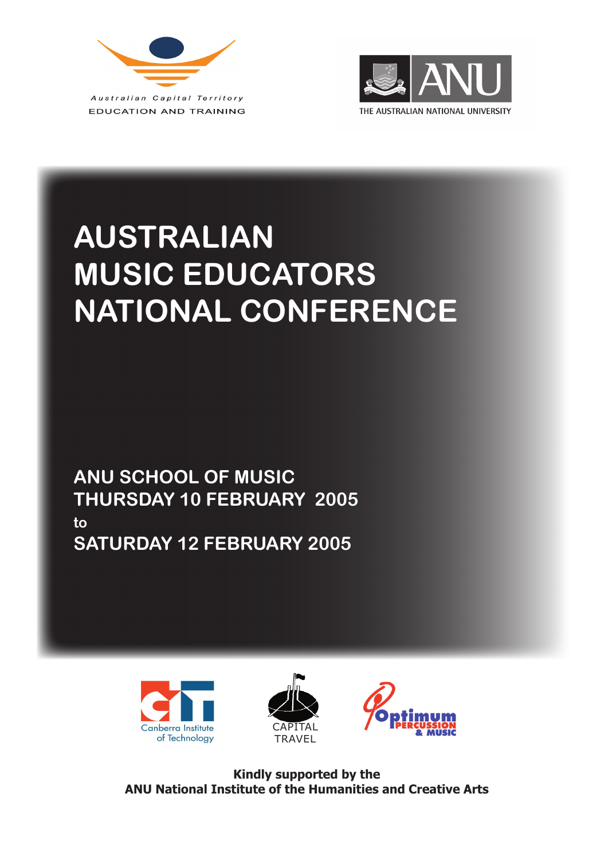



# **AUSTRALIAN MUSIC EDUCATORS NATIONAL CONFERENCE**

**ANU SCHOOL OF MUSIC THURSDAY 10 FEBRUARY 2005 to SATURDAY 12 FEBRUARY 2005**







**Kindly supported by the ANU National Institute of the Humanities and Creative Arts**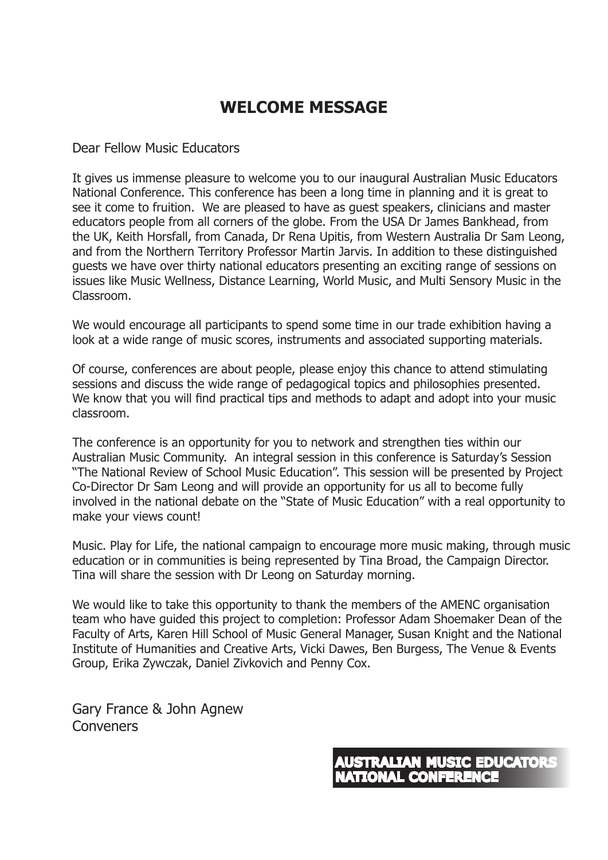# **WELCOME MESSAGE**

#### Dear Fellow Music Educators

It gives us immense pleasure to welcome you to our inaugural Australian Music Educators National Conference. This conference has been a long time in planning and it is great to see it come to fruition. We are pleased to have as guest speakers, clinicians and master educators people from all corners of the globe. From the USA Dr James Bankhead, from the UK, Keith Horsfall, from Canada, Dr Rena Upitis, from Western Australia Dr Sam Leong, and from the Northern Territory Professor Martin Jarvis. In addition to these distinguished guests we have over thirty national educators presenting an exciting range of sessions on issues like Music Wellness, Distance Learning, World Music, and Multi Sensory Music in the Classroom.

We would encourage all participants to spend some time in our trade exhibition having a look at a wide range of music scores, instruments and associated supporting materials.

Of course, conferences are about people, please enjoy this chance to attend stimulating sessions and discuss the wide range of pedagogical topics and philosophies presented. We know that you will find practical tips and methods to adapt and adopt into your music classroom.

The conference is an opportunity for you to network and strengthen ties within our Australian Music Community. An integral session in this conference is Saturday's Session "The National Review of School Music Education". This session will be presented by Project Co-Director Dr Sam Leong and will provide an opportunity for us all to become fully involved in the national debate on the "State of Music Education" with a real opportunity to make your views count!

Music. Play for Life, the national campaign to encourage more music making, through music education or in communities is being represented by Tina Broad, the Campaign Director. Tina will share the session with Dr Leong on Saturday morning.

We would like to take this opportunity to thank the members of the AMENC organisation team who have guided this project to completion: Professor Adam Shoemaker Dean of the Faculty of Arts, Karen Hill School of Music General Manager, Susan Knight and the National Institute of Humanities and Creative Arts, Vicki Dawes, Ben Burgess, The Venue & Events Group, Erika Zywczak, Daniel Zivkovich and Penny Cox.

Gary France & John Agnew Conveners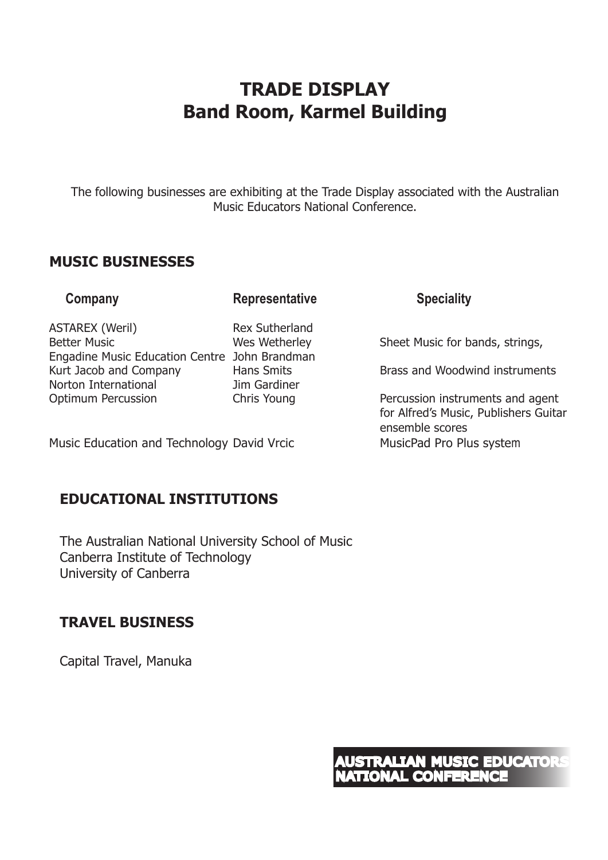# **TRADE DISPLAY Band Room, Karmel Building**

The following businesses are exhibiting at the Trade Display associated with the Australian Music Educators National Conference.

#### **MUSIC BUSINESSES**

#### **Company Company Representative Speciality**

ASTAREX (Weril) Rex Sutherland Better Music **Number 20 Sheet Music for bands, strings, and Sheet Music for bands, strings, and Sheet Music for bands, strings,** Engadine Music Education Centre John Brandman Kurt Jacob and Company Hans Smits Brass and Woodwind instruments Norton International Jim Gardiner

Music Education and Technology David Vrcic MusicPad Pro Plus system

## **EDUCATIONAL INSTITUTIONS**

The Australian National University School of Music Canberra Institute of Technology University of Canberra

## **TRAVEL BUSINESS**

Capital Travel, Manuka

Optimum Percussion **Chris Young** Percussion instruments and agent for Alfred's Music, Publishers Guitar ensemble scores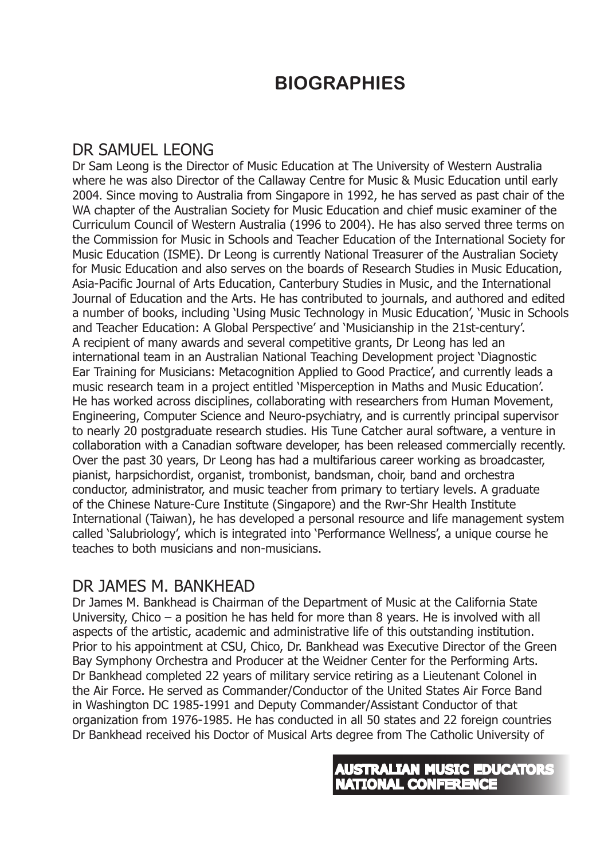# **BIOGRAPHIES**

# DR SAMUEL LEONG

Dr Sam Leong is the Director of Music Education at The University of Western Australia where he was also Director of the Callaway Centre for Music & Music Education until early 2004. Since moving to Australia from Singapore in 1992, he has served as past chair of the WA chapter of the Australian Society for Music Education and chief music examiner of the Curriculum Council of Western Australia (1996 to 2004). He has also served three terms on the Commission for Music in Schools and Teacher Education of the International Society for Music Education (ISME). Dr Leong is currently National Treasurer of the Australian Society for Music Education and also serves on the boards of Research Studies in Music Education, Asia-Pacific Journal of Arts Education, Canterbury Studies in Music, and the International Journal of Education and the Arts. He has contributed to journals, and authored and edited a number of books, including 'Using Music Technology in Music Education', 'Music in Schools and Teacher Education: A Global Perspective' and 'Musicianship in the 21st-century'. A recipient of many awards and several competitive grants, Dr Leong has led an international team in an Australian National Teaching Development project 'Diagnostic Ear Training for Musicians: Metacognition Applied to Good Practice', and currently leads a music research team in a project entitled 'Misperception in Maths and Music Education'. He has worked across disciplines, collaborating with researchers from Human Movement, Engineering, Computer Science and Neuro-psychiatry, and is currently principal supervisor to nearly 20 postgraduate research studies. His Tune Catcher aural software, a venture in collaboration with a Canadian software developer, has been released commercially recently. Over the past 30 years, Dr Leong has had a multifarious career working as broadcaster, pianist, harpsichordist, organist, trombonist, bandsman, choir, band and orchestra conductor, administrator, and music teacher from primary to tertiary levels. A graduate of the Chinese Nature-Cure Institute (Singapore) and the Rwr-Shr Health Institute International (Taiwan), he has developed a personal resource and life management system called 'Salubriology', which is integrated into 'Performance Wellness', a unique course he teaches to both musicians and non-musicians.

## DR JAMES M. BANKHEAD

Dr James M. Bankhead is Chairman of the Department of Music at the California State University, Chico – a position he has held for more than 8 years. He is involved with all aspects of the artistic, academic and administrative life of this outstanding institution. Prior to his appointment at CSU, Chico, Dr. Bankhead was Executive Director of the Green Bay Symphony Orchestra and Producer at the Weidner Center for the Performing Arts. Dr Bankhead completed 22 years of military service retiring as a Lieutenant Colonel in the Air Force. He served as Commander/Conductor of the United States Air Force Band in Washington DC 1985-1991 and Deputy Commander/Assistant Conductor of that organization from 1976-1985. He has conducted in all 50 states and 22 foreign countries Dr Bankhead received his Doctor of Musical Arts degree from The Catholic University of

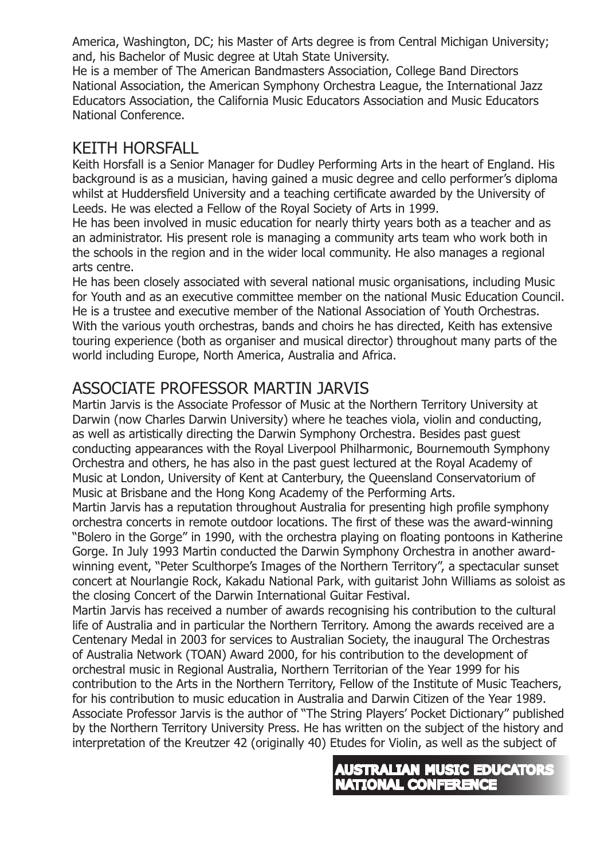America, Washington, DC; his Master of Arts degree is from Central Michigan University; and, his Bachelor of Music degree at Utah State University.

He is a member of The American Bandmasters Association, College Band Directors National Association, the American Symphony Orchestra League, the International Jazz Educators Association, the California Music Educators Association and Music Educators National Conference.

## KEITH HORSFALL

Keith Horsfall is a Senior Manager for Dudley Performing Arts in the heart of England. His background is as a musician, having gained a music degree and cello performer's diploma whilst at Huddersfield University and a teaching certificate awarded by the University of Leeds. He was elected a Fellow of the Royal Society of Arts in 1999.

He has been involved in music education for nearly thirty years both as a teacher and as an administrator. His present role is managing a community arts team who work both in the schools in the region and in the wider local community. He also manages a regional arts centre.

He has been closely associated with several national music organisations, including Music for Youth and as an executive committee member on the national Music Education Council. He is a trustee and executive member of the National Association of Youth Orchestras. With the various youth orchestras, bands and choirs he has directed, Keith has extensive touring experience (both as organiser and musical director) throughout many parts of the world including Europe, North America, Australia and Africa.

# ASSOCIATE PROFESSOR MARTIN JARVIS

Martin Jarvis is the Associate Professor of Music at the Northern Territory University at Darwin (now Charles Darwin University) where he teaches viola, violin and conducting, as well as artistically directing the Darwin Symphony Orchestra. Besides past guest conducting appearances with the Royal Liverpool Philharmonic, Bournemouth Symphony Orchestra and others, he has also in the past guest lectured at the Royal Academy of Music at London, University of Kent at Canterbury, the Queensland Conservatorium of Music at Brisbane and the Hong Kong Academy of the Performing Arts.

Martin Jarvis has a reputation throughout Australia for presenting high profile symphony orchestra concerts in remote outdoor locations. The first of these was the award-winning "Bolero in the Gorge" in 1990, with the orchestra playing on floating pontoons in Katherine Gorge. In July 1993 Martin conducted the Darwin Symphony Orchestra in another awardwinning event, "Peter Sculthorpe's Images of the Northern Territory", a spectacular sunset concert at Nourlangie Rock, Kakadu National Park, with guitarist John Williams as soloist as the closing Concert of the Darwin International Guitar Festival.

Martin Jarvis has received a number of awards recognising his contribution to the cultural life of Australia and in particular the Northern Territory. Among the awards received are a Centenary Medal in 2003 for services to Australian Society, the inaugural The Orchestras of Australia Network (TOAN) Award 2000, for his contribution to the development of orchestral music in Regional Australia, Northern Territorian of the Year 1999 for his contribution to the Arts in the Northern Territory, Fellow of the Institute of Music Teachers, for his contribution to music education in Australia and Darwin Citizen of the Year 1989. Associate Professor Jarvis is the author of "The String Players' Pocket Dictionary" published by the Northern Territory University Press. He has written on the subject of the history and interpretation of the Kreutzer 42 (originally 40) Etudes for Violin, as well as the subject of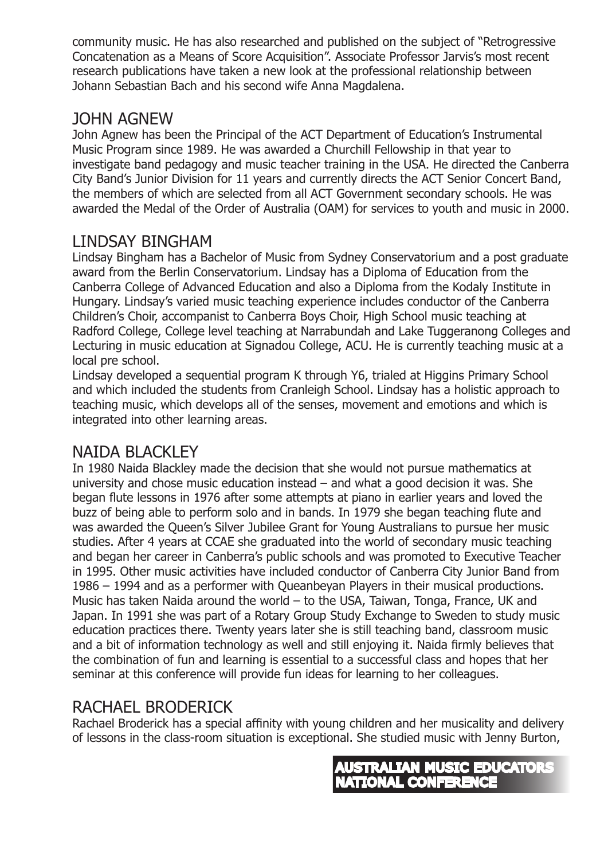community music. He has also researched and published on the subject of "Retrogressive Concatenation as a Means of Score Acquisition". Associate Professor Jarvis's most recent research publications have taken a new look at the professional relationship between Johann Sebastian Bach and his second wife Anna Magdalena.

## JOHN AGNEW

John Agnew has been the Principal of the ACT Department of Education's Instrumental Music Program since 1989. He was awarded a Churchill Fellowship in that year to investigate band pedagogy and music teacher training in the USA. He directed the Canberra City Band's Junior Division for 11 years and currently directs the ACT Senior Concert Band, the members of which are selected from all ACT Government secondary schools. He was awarded the Medal of the Order of Australia (OAM) for services to youth and music in 2000.

# LINDSAY BINGHAM

Lindsay Bingham has a Bachelor of Music from Sydney Conservatorium and a post graduate award from the Berlin Conservatorium. Lindsay has a Diploma of Education from the Canberra College of Advanced Education and also a Diploma from the Kodaly Institute in Hungary. Lindsay's varied music teaching experience includes conductor of the Canberra Children's Choir, accompanist to Canberra Boys Choir, High School music teaching at Radford College, College level teaching at Narrabundah and Lake Tuggeranong Colleges and Lecturing in music education at Signadou College, ACU. He is currently teaching music at a local pre school.

Lindsay developed a sequential program K through Y6, trialed at Higgins Primary School and which included the students from Cranleigh School. Lindsay has a holistic approach to teaching music, which develops all of the senses, movement and emotions and which is integrated into other learning areas.

# NAIDA BLACKLEY

In 1980 Naida Blackley made the decision that she would not pursue mathematics at university and chose music education instead – and what a good decision it was. She began flute lessons in 1976 after some attempts at piano in earlier years and loved the buzz of being able to perform solo and in bands. In 1979 she began teaching flute and was awarded the Queen's Silver Jubilee Grant for Young Australians to pursue her music studies. After 4 years at CCAE she graduated into the world of secondary music teaching and began her career in Canberra's public schools and was promoted to Executive Teacher in 1995. Other music activities have included conductor of Canberra City Junior Band from 1986 – 1994 and as a performer with Queanbeyan Players in their musical productions. Music has taken Naida around the world – to the USA, Taiwan, Tonga, France, UK and Japan. In 1991 she was part of a Rotary Group Study Exchange to Sweden to study music education practices there. Twenty years later she is still teaching band, classroom music and a bit of information technology as well and still enjoying it. Naida firmly believes that the combination of fun and learning is essential to a successful class and hopes that her seminar at this conference will provide fun ideas for learning to her colleagues.

# RACHAEL BRODERICK

Rachael Broderick has a special affinity with young children and her musicality and delivery of lessons in the class-room situation is exceptional. She studied music with Jenny Burton,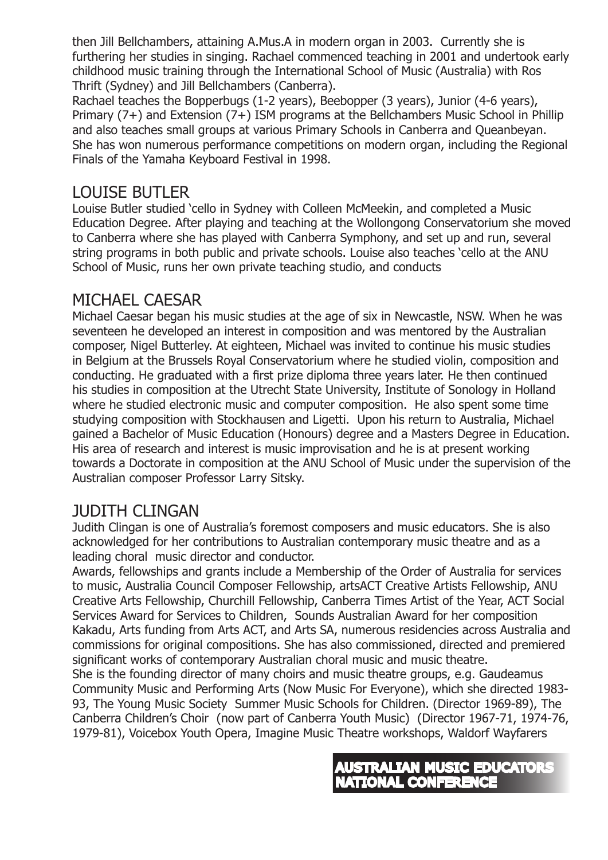then Jill Bellchambers, attaining A.Mus.A in modern organ in 2003. Currently she is furthering her studies in singing. Rachael commenced teaching in 2001 and undertook early childhood music training through the International School of Music (Australia) with Ros Thrift (Sydney) and Jill Bellchambers (Canberra).

Rachael teaches the Bopperbugs (1-2 years), Beebopper (3 years), Junior (4-6 years), Primary (7+) and Extension (7+) ISM programs at the Bellchambers Music School in Phillip and also teaches small groups at various Primary Schools in Canberra and Queanbeyan. She has won numerous performance competitions on modern organ, including the Regional Finals of the Yamaha Keyboard Festival in 1998.

## LOUISE BUTLER

Louise Butler studied 'cello in Sydney with Colleen McMeekin, and completed a Music Education Degree. After playing and teaching at the Wollongong Conservatorium she moved to Canberra where she has played with Canberra Symphony, and set up and run, several string programs in both public and private schools. Louise also teaches 'cello at the ANU School of Music, runs her own private teaching studio, and conducts

## MICHAEL CAESAR

Michael Caesar began his music studies at the age of six in Newcastle, NSW. When he was seventeen he developed an interest in composition and was mentored by the Australian composer, Nigel Butterley. At eighteen, Michael was invited to continue his music studies in Belgium at the Brussels Royal Conservatorium where he studied violin, composition and conducting. He graduated with a first prize diploma three years later. He then continued his studies in composition at the Utrecht State University, Institute of Sonology in Holland where he studied electronic music and computer composition. He also spent some time studying composition with Stockhausen and Ligetti. Upon his return to Australia, Michael gained a Bachelor of Music Education (Honours) degree and a Masters Degree in Education. His area of research and interest is music improvisation and he is at present working towards a Doctorate in composition at the ANU School of Music under the supervision of the Australian composer Professor Larry Sitsky.

## JUDITH CLINGAN

Judith Clingan is one of Australia's foremost composers and music educators. She is also acknowledged for her contributions to Australian contemporary music theatre and as a leading choral music director and conductor.

Awards, fellowships and grants include a Membership of the Order of Australia for services to music, Australia Council Composer Fellowship, artsACT Creative Artists Fellowship, ANU Creative Arts Fellowship, Churchill Fellowship, Canberra Times Artist of the Year, ACT Social Services Award for Services to Children, Sounds Australian Award for her composition Kakadu, Arts funding from Arts ACT, and Arts SA, numerous residencies across Australia and commissions for original compositions. She has also commissioned, directed and premiered significant works of contemporary Australian choral music and music theatre. She is the founding director of many choirs and music theatre groups, e.g. Gaudeamus Community Music and Performing Arts (Now Music For Everyone), which she directed 1983- 93, The Young Music Society Summer Music Schools for Children. (Director 1969-89), The Canberra Children's Choir (now part of Canberra Youth Music) (Director 1967-71, 1974-76, 1979-81), Voicebox Youth Opera, Imagine Music Theatre workshops, Waldorf Wayfarers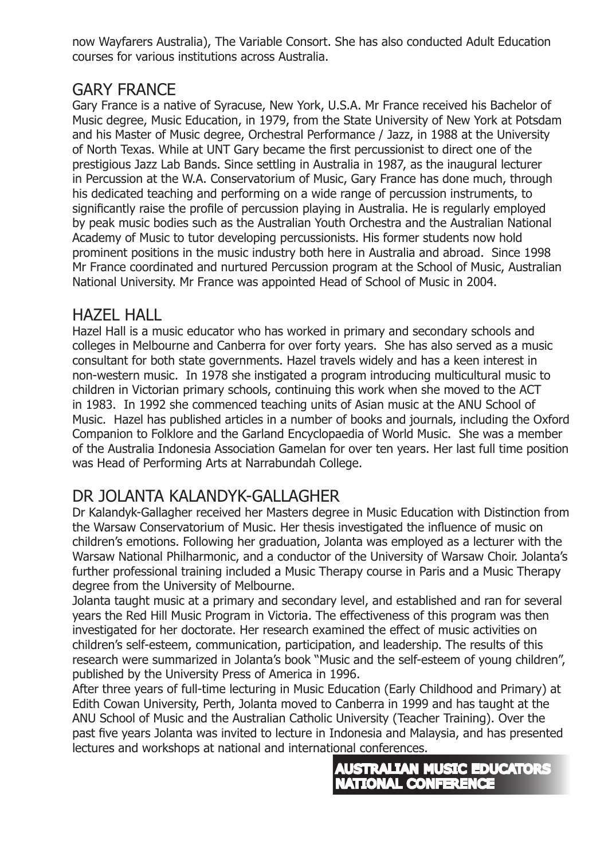now Wayfarers Australia), The Variable Consort. She has also conducted Adult Education courses for various institutions across Australia.

## GARY FRANCE

Gary France is a native of Syracuse, New York, U.S.A. Mr France received his Bachelor of Music degree, Music Education, in 1979, from the State University of New York at Potsdam and his Master of Music degree, Orchestral Performance / Jazz, in 1988 at the University of North Texas. While at UNT Gary became the first percussionist to direct one of the prestigious Jazz Lab Bands. Since settling in Australia in 1987, as the inaugural lecturer in Percussion at the W.A. Conservatorium of Music, Gary France has done much, through his dedicated teaching and performing on a wide range of percussion instruments, to significantly raise the profile of percussion playing in Australia. He is regularly employed by peak music bodies such as the Australian Youth Orchestra and the Australian National Academy of Music to tutor developing percussionists. His former students now hold prominent positions in the music industry both here in Australia and abroad. Since 1998 Mr France coordinated and nurtured Percussion program at the School of Music, Australian National University. Mr France was appointed Head of School of Music in 2004.

## HAZEL HALL

Hazel Hall is a music educator who has worked in primary and secondary schools and colleges in Melbourne and Canberra for over forty years. She has also served as a music consultant for both state governments. Hazel travels widely and has a keen interest in non-western music. In 1978 she instigated a program introducing multicultural music to children in Victorian primary schools, continuing this work when she moved to the ACT in 1983. In 1992 she commenced teaching units of Asian music at the ANU School of Music. Hazel has published articles in a number of books and journals, including the Oxford Companion to Folklore and the Garland Encyclopaedia of World Music. She was a member of the Australia Indonesia Association Gamelan for over ten years. Her last full time position was Head of Performing Arts at Narrabundah College.

# DR JOLANTA KALANDYK-GALLAGHER

Dr Kalandyk-Gallagher received her Masters degree in Music Education with Distinction from the Warsaw Conservatorium of Music. Her thesis investigated the influence of music on children's emotions. Following her graduation, Jolanta was employed as a lecturer with the Warsaw National Philharmonic, and a conductor of the University of Warsaw Choir. Jolanta's further professional training included a Music Therapy course in Paris and a Music Therapy degree from the University of Melbourne.

Jolanta taught music at a primary and secondary level, and established and ran for several years the Red Hill Music Program in Victoria. The effectiveness of this program was then investigated for her doctorate. Her research examined the effect of music activities on children's self-esteem, communication, participation, and leadership. The results of this research were summarized in Jolanta's book "Music and the self-esteem of young children", published by the University Press of America in 1996.

After three years of full-time lecturing in Music Education (Early Childhood and Primary) at Edith Cowan University, Perth, Jolanta moved to Canberra in 1999 and has taught at the ANU School of Music and the Australian Catholic University (Teacher Training). Over the past five years Jolanta was invited to lecture in Indonesia and Malaysia, and has presented lectures and workshops at national and international conferences.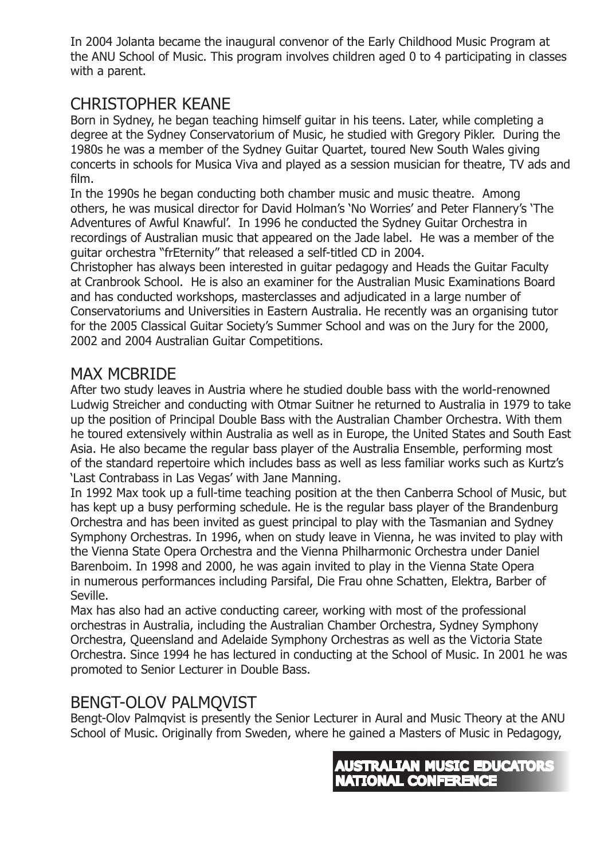In 2004 Jolanta became the inaugural convenor of the Early Childhood Music Program at the ANU School of Music. This program involves children aged 0 to 4 participating in classes with a parent.

# CHRISTOPHER KEANE

Born in Sydney, he began teaching himself guitar in his teens. Later, while completing a degree at the Sydney Conservatorium of Music, he studied with Gregory Pikler. During the 1980s he was a member of the Sydney Guitar Quartet, toured New South Wales giving concerts in schools for Musica Viva and played as a session musician for theatre, TV ads and film.

In the 1990s he began conducting both chamber music and music theatre. Among others, he was musical director for David Holman's 'No Worries' and Peter Flannery's 'The Adventures of Awful Knawful'. In 1996 he conducted the Sydney Guitar Orchestra in recordings of Australian music that appeared on the Jade label. He was a member of the guitar orchestra "frEternity" that released a self-titled CD in 2004.

Christopher has always been interested in guitar pedagogy and Heads the Guitar Faculty at Cranbrook School. He is also an examiner for the Australian Music Examinations Board and has conducted workshops, masterclasses and adjudicated in a large number of Conservatoriums and Universities in Eastern Australia. He recently was an organising tutor for the 2005 Classical Guitar Society's Summer School and was on the Jury for the 2000, 2002 and 2004 Australian Guitar Competitions.

## MAX MCBRIDE

After two study leaves in Austria where he studied double bass with the world-renowned Ludwig Streicher and conducting with Otmar Suitner he returned to Australia in 1979 to take up the position of Principal Double Bass with the Australian Chamber Orchestra. With them he toured extensively within Australia as well as in Europe, the United States and South East Asia. He also became the regular bass player of the Australia Ensemble, performing most of the standard repertoire which includes bass as well as less familiar works such as Kurtz's 'Last Contrabass in Las Vegas' with Jane Manning.

In 1992 Max took up a full-time teaching position at the then Canberra School of Music, but has kept up a busy performing schedule. He is the regular bass player of the Brandenburg Orchestra and has been invited as guest principal to play with the Tasmanian and Sydney Symphony Orchestras. In 1996, when on study leave in Vienna, he was invited to play with the Vienna State Opera Orchestra and the Vienna Philharmonic Orchestra under Daniel Barenboim. In 1998 and 2000, he was again invited to play in the Vienna State Opera in numerous performances including Parsifal, Die Frau ohne Schatten, Elektra, Barber of Seville.

Max has also had an active conducting career, working with most of the professional orchestras in Australia, including the Australian Chamber Orchestra, Sydney Symphony Orchestra, Queensland and Adelaide Symphony Orchestras as well as the Victoria State Orchestra. Since 1994 he has lectured in conducting at the School of Music. In 2001 he was promoted to Senior Lecturer in Double Bass.

### BENGT-OLOV PALMQVIST

Bengt-Olov Palmqvist is presently the Senior Lecturer in Aural and Music Theory at the ANU School of Music. Originally from Sweden, where he gained a Masters of Music in Pedagogy,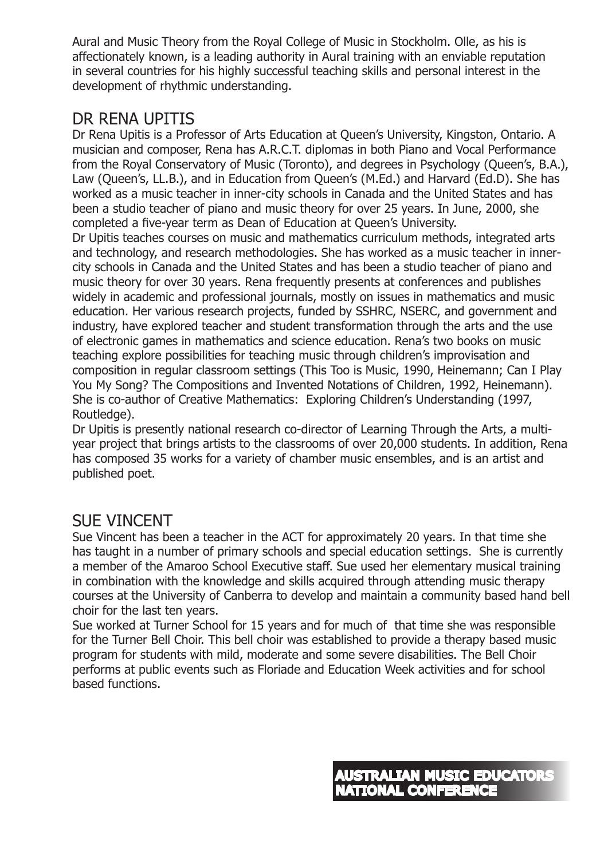Aural and Music Theory from the Royal College of Music in Stockholm. Olle, as his is affectionately known, is a leading authority in Aural training with an enviable reputation in several countries for his highly successful teaching skills and personal interest in the development of rhythmic understanding.

# DR RENA UPITIS

Dr Rena Upitis is a Professor of Arts Education at Queen's University, Kingston, Ontario. A musician and composer, Rena has A.R.C.T. diplomas in both Piano and Vocal Performance from the Royal Conservatory of Music (Toronto), and degrees in Psychology (Queen's, B.A.), Law (Queen's, LL.B.), and in Education from Queen's (M.Ed.) and Harvard (Ed.D). She has worked as a music teacher in inner-city schools in Canada and the United States and has been a studio teacher of piano and music theory for over 25 years. In June, 2000, she completed a five-year term as Dean of Education at Queen's University.

Dr Upitis teaches courses on music and mathematics curriculum methods, integrated arts and technology, and research methodologies. She has worked as a music teacher in innercity schools in Canada and the United States and has been a studio teacher of piano and music theory for over 30 years. Rena frequently presents at conferences and publishes widely in academic and professional journals, mostly on issues in mathematics and music education. Her various research projects, funded by SSHRC, NSERC, and government and industry, have explored teacher and student transformation through the arts and the use of electronic games in mathematics and science education. Rena's two books on music teaching explore possibilities for teaching music through children's improvisation and composition in regular classroom settings (This Too is Music, 1990, Heinemann; Can I Play You My Song? The Compositions and Invented Notations of Children, 1992, Heinemann). She is co-author of Creative Mathematics: Exploring Children's Understanding (1997, Routledge).

Dr Upitis is presently national research co-director of Learning Through the Arts, a multiyear project that brings artists to the classrooms of over 20,000 students. In addition, Rena has composed 35 works for a variety of chamber music ensembles, and is an artist and published poet.

## SUE VINCENT

Sue Vincent has been a teacher in the ACT for approximately 20 years. In that time she has taught in a number of primary schools and special education settings. She is currently a member of the Amaroo School Executive staff. Sue used her elementary musical training in combination with the knowledge and skills acquired through attending music therapy courses at the University of Canberra to develop and maintain a community based hand bell choir for the last ten years.

Sue worked at Turner School for 15 years and for much of that time she was responsible for the Turner Bell Choir. This bell choir was established to provide a therapy based music program for students with mild, moderate and some severe disabilities. The Bell Choir performs at public events such as Floriade and Education Week activities and for school based functions.